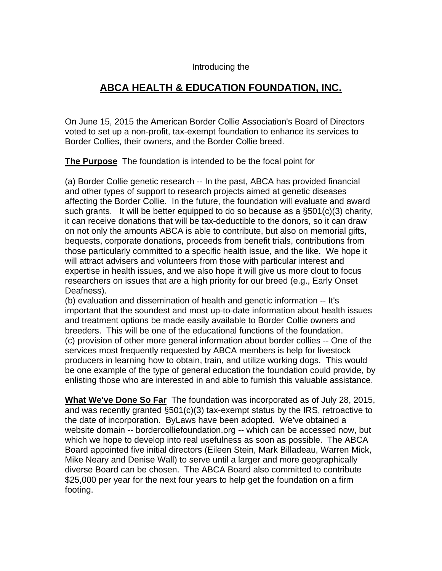## Introducing the

## **ABCA HEALTH & EDUCATION FOUNDATION, INC.**

On June 15, 2015 the American Border Collie Association's Board of Directors voted to set up a non-profit, tax-exempt foundation to enhance its services to Border Collies, their owners, and the Border Collie breed.

**The Purpose** The foundation is intended to be the focal point for

(a) Border Collie genetic research -- In the past, ABCA has provided financial and other types of support to research projects aimed at genetic diseases affecting the Border Collie. In the future, the foundation will evaluate and award such grants. It will be better equipped to do so because as a §501(c)(3) charity, it can receive donations that will be tax-deductible to the donors, so it can draw on not only the amounts ABCA is able to contribute, but also on memorial gifts, bequests, corporate donations, proceeds from benefit trials, contributions from those particularly committed to a specific health issue, and the like. We hope it will attract advisers and volunteers from those with particular interest and expertise in health issues, and we also hope it will give us more clout to focus researchers on issues that are a high priority for our breed (e.g., Early Onset Deafness).

(b) evaluation and dissemination of health and genetic information -- It's important that the soundest and most up-to-date information about health issues and treatment options be made easily available to Border Collie owners and breeders. This will be one of the educational functions of the foundation. (c) provision of other more general information about border collies -- One of the services most frequently requested by ABCA members is help for livestock producers in learning how to obtain, train, and utilize working dogs. This would be one example of the type of general education the foundation could provide, by enlisting those who are interested in and able to furnish this valuable assistance.

**What We've Done So Far** The foundation was incorporated as of July 28, 2015, and was recently granted §501(c)(3) tax-exempt status by the IRS, retroactive to the date of incorporation. ByLaws have been adopted. We've obtained a website domain -- bordercolliefoundation.org -- which can be accessed now, but which we hope to develop into real usefulness as soon as possible. The ABCA Board appointed five initial directors (Eileen Stein, Mark Billadeau, Warren Mick, Mike Neary and Denise Wall) to serve until a larger and more geographically diverse Board can be chosen. The ABCA Board also committed to contribute \$25,000 per year for the next four years to help get the foundation on a firm footing.